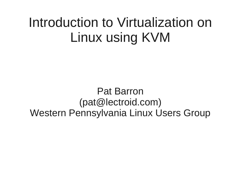### Introduction to Virtualization on Linux using KVM

Pat Barron (pat@lectroid.com) Western Pennsylvania Linux Users Group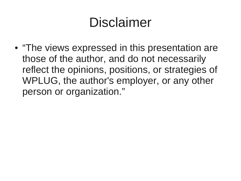## Disclaimer

• "The views expressed in this presentation are those of the author, and do not necessarily reflect the opinions, positions, or strategies of WPLUG, the author's employer, or any other person or organization."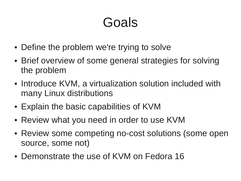### Goals

- Define the problem we're trying to solve
- Brief overview of some general strategies for solving the problem
- Introduce KVM, a virtualization solution included with many Linux distributions
- Explain the basic capabilities of KVM
- Review what you need in order to use KVM
- Review some competing no-cost solutions (some open source, some not)
- Demonstrate the use of KVM on Fedora 16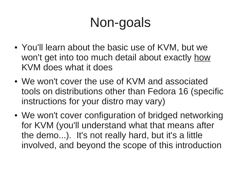# Non-goals

- You'll learn about the basic use of KVM, but we won't get into too much detail about exactly how KVM does what it does
- We won't cover the use of KVM and associated tools on distributions other than Fedora 16 (specific instructions for your distro may vary)
- We won't cover configuration of bridged networking for KVM (you'll understand what that means after the demo...). It's not really hard, but it's a little involved, and beyond the scope of this introduction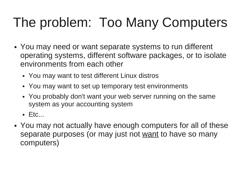# The problem: Too Many Computers

- You may need or want separate systems to run different operating systems, different software packages, or to isolate environments from each other
	- You may want to test different Linux distros
	- You may want to set up temporary test environments
	- You probably don't want your web server running on the same system as your accounting system
	- $\bullet$  Etc...
- You may not actually have enough computers for all of these separate purposes (or may just not want to have so many computers)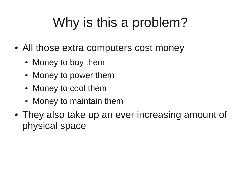# Why is this a problem?

- All those extra computers cost money
	- Money to buy them
	- Money to power them
	- Money to cool them
	- Money to maintain them
- They also take up an ever increasing amount of physical space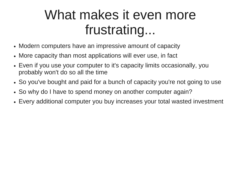### What makes it even more frustrating...

- Modern computers have an impressive amount of capacity
- More capacity than most applications will ever use, in fact
- Even if you use your computer to it's capacity limits occasionally, you probably won't do so all the time
- So you've bought and paid for a bunch of capacity you're not going to use
- So why do I have to spend money on another computer again?
- Every additional computer you buy increases your total wasted investment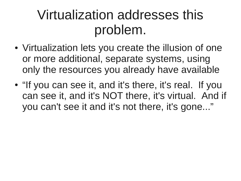### Virtualization addresses this problem.

- Virtualization lets you create the illusion of one or more additional, separate systems, using only the resources you already have available
- "If you can see it, and it's there, it's real. If you can see it, and it's NOT there, it's virtual. And if you can't see it and it's not there, it's gone..."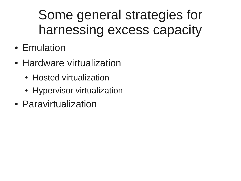## Some general strategies for harnessing excess capacity

- Emulation
- Hardware virtualization
	- Hosted virtualization
	- Hypervisor virtualization
- Paravirtualization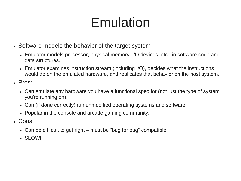## Emulation

- Software models the behavior of the target system
	- Emulator models processor, physical memory, I/O devices, etc., in software code and data structures.
	- Emulator examines instruction stream (including I/O), decides what the instructions would do on the emulated hardware, and replicates that behavior on the host system.
- $\cdot$  Pros:
	- Can emulate any hardware you have a functional spec for (not just the type of system you're running on).
	- Can (if done correctly) run unmodified operating systems and software.
	- Popular in the console and arcade gaming community.
- Cons:
	- $\bullet$  Can be difficult to get right must be "bug for bug" compatible.
	- SLOW!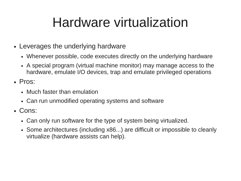## Hardware virtualization

- Leverages the underlying hardware
	- Whenever possible, code executes directly on the underlying hardware
	- A special program (virtual machine monitor) may manage access to the hardware, emulate I/O devices, trap and emulate privileged operations
- Pros:
	- Much faster than emulation
	- Can run unmodified operating systems and software
- Cons:
	- Can only run software for the type of system being virtualized.
	- Some architectures (including x86...) are difficult or impossible to cleanly virtualize (hardware assists can help).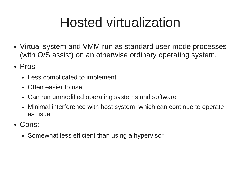# Hosted virtualization

- Virtual system and VMM run as standard user-mode processes (with O/S assist) on an otherwise ordinary operating system.
- Pros:
	- Less complicated to implement
	- Often easier to use
	- Can run unmodified operating systems and software
	- Minimal interference with host system, which can continue to operate as usual
- Cons:
	- Somewhat less efficient than using a hypervisor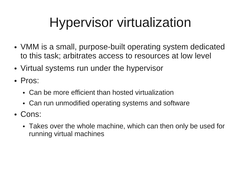# Hypervisor virtualization

- VMM is a small, purpose-built operating system dedicated to this task; arbitrates access to resources at low level
- Virtual systems run under the hypervisor
- Pros:
	- Can be more efficient than hosted virtualization
	- Can run unmodified operating systems and software
- Cons:
	- Takes over the whole machine, which can then only be used for running virtual machines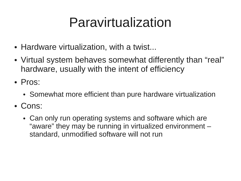### Paravirtualization

- Hardware virtualization, with a twist...
- Virtual system behaves somewhat differently than "real" hardware, usually with the intent of efficiency
- Pros:
	- Somewhat more efficient than pure hardware virtualization
- Cons:
	- Can only run operating systems and software which are "aware" they may be running in virtualized environment – standard, unmodified software will not run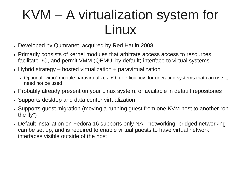#### KVM – A virtualization system for Linux

- Developed by Qumranet, acquired by Red Hat in 2008
- Primarily consists of kernel modules that arbitrate access access to resources, facilitate I/O, and permit VMM (QEMU, by default) interface to virtual systems
- Hybrid strategy  $-$  hosted virtualization  $+$  paravirtualization
	- Optional "virtio" module paravirtualizes I/O for efficiency, for operating systems that can use it; need not be used
- Probably already present on your Linux system, or available in default repositories
- Supports desktop and data center virtualization
- Supports quest migration (moving a running quest from one KVM host to another "on the fly")
- Default installation on Fedora 16 supports only NAT networking; bridged networking can be set up, and is required to enable virtual guests to have virtual network interfaces visible outside of the host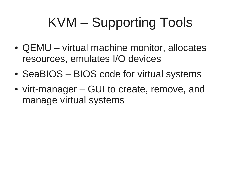# KVM – Supporting Tools

- QEMU virtual machine monitor, allocates resources, emulates I/O devices
- SeaBIOS BIOS code for virtual systems
- virt-manager GUI to create, remove, and manage virtual systems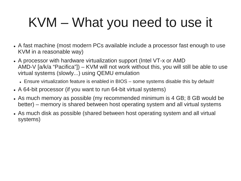# KVM – What you need to use it

- A fast machine (most modern PCs available include a processor fast enough to use KVM in a reasonable way)
- A processor with hardware virtualization support (Intel VT-x or AMD) AMD-V [a/k/a "Pacifica"]) – KVM will not work without this, you will still be able to use virtual systems (slowly...) using QEMU emulation
	- Ensure virtualization feature is enabled in BIOS some systems disable this by default!
- A 64-bit processor (if you want to run 64-bit virtual systems)
- As much memory as possible (my recommended minimum is 4 GB; 8 GB would be better) – memory is shared between host operating system and all virtual systems
- As much disk as possible (shared between host operating system and all virtual systems)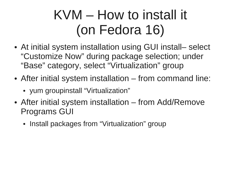# KVM – How to install it (on Fedora 16)

- At initial system installation using GUI install– select "Customize Now" during package selection; under "Base" category, select "Virtualization" group
- After initial system installation from command line:
	- yum groupinstall "Virtualization"
- After initial system installation from Add/Remove Programs GUI
	- Install packages from "Virtualization" group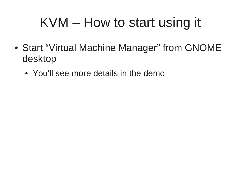## KVM – How to start using it

- Start "Virtual Machine Manager" from GNOME desktop
	- You'll see more details in the demo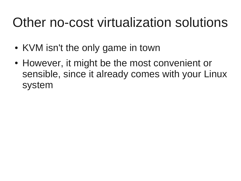### Other no-cost virtualization solutions

- KVM isn't the only game in town
- However, it might be the most convenient or sensible, since it already comes with your Linux system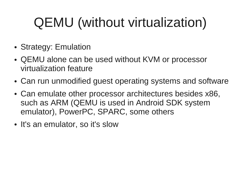# QEMU (without virtualization)

- Strategy: Emulation
- QEMU alone can be used without KVM or processor virtualization feature
- Can run unmodified guest operating systems and software
- Can emulate other processor architectures besides x86, such as ARM (QEMU is used in Android SDK system emulator), PowerPC, SPARC, some others
- It's an emulator, so it's slow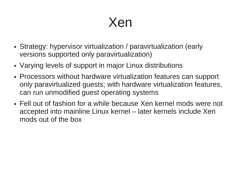#### Xen

- Strategy: hypervisor virtualization / paravirtualization (early versions supported only paravirtualization)
- Varying levels of support in major Linux distributions
- Processors without hardware virtualization features can support only paravirtualized guests; with hardware virtualization features, can run unmodified guest operating systems
- Fell out of fashion for a while because Xen kernel mods were not accepted into mainline Linux kernel – later kernels include Xen mods out of the box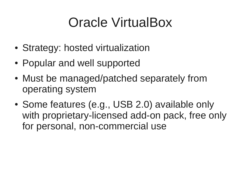## Oracle VirtualBox

- Strategy: hosted virtualization
- Popular and well supported
- Must be managed/patched separately from operating system
- Some features (e.g., USB 2.0) available only with proprietary-licensed add-on pack, free only for personal, non-commercial use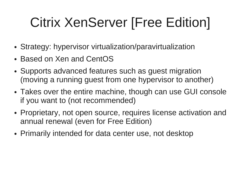# Citrix XenServer [Free Edition]

- Strategy: hypervisor virtualization/paravirtualization
- Based on Xen and CentOS
- Supports advanced features such as quest migration (moving a running guest from one hypervisor to another)
- Takes over the entire machine, though can use GUI console if you want to (not recommended)
- Proprietary, not open source, requires license activation and annual renewal (even for Free Edition)
- Primarily intended for data center use, not desktop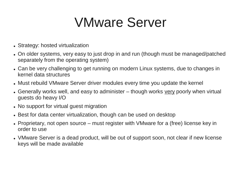#### VMware Server

- Strategy: hosted virtualization
- On older systems, very easy to just drop in and run (though must be managed/patched separately from the operating system)
- Can be very challenging to get running on modern Linux systems, due to changes in kernel data structures
- Must rebuild VMware Server driver modules every time you update the kernel
- Generally works well, and easy to administer though works very poorly when virtual guests do heavy I/O
- No support for virtual guest migration
- Best for data center virtualization, though can be used on desktop
- Proprietary, not open source must register with VMware for a (free) license key in order to use
- VMware Server is a dead product, will be out of support soon, not clear if new license keys will be made available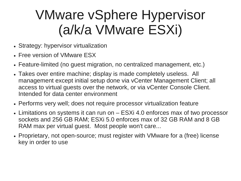### VMware vSphere Hypervisor (a/k/a VMware ESXi)

- Strategy: hypervisor virtualization
- Free version of VMware ESX
- Feature-limited (no guest migration, no centralized management, etc.)
- Takes over entire machine; display is made completely useless. All management except initial setup done via vCenter Management Client; all access to virtual guests over the network, or via vCenter Console Client. Intended for data center environment
- Performs very well; does not require processor virtualization feature
- Limitations on systems it can run on ESXi 4.0 enforces max of two processor sockets and 256 GB RAM; ESXi 5.0 enforces max of 32 GB RAM and 8 GB RAM max per virtual guest. Most people won't care...
- Proprietary, not open-source; must register with VMware for a (free) license key in order to use